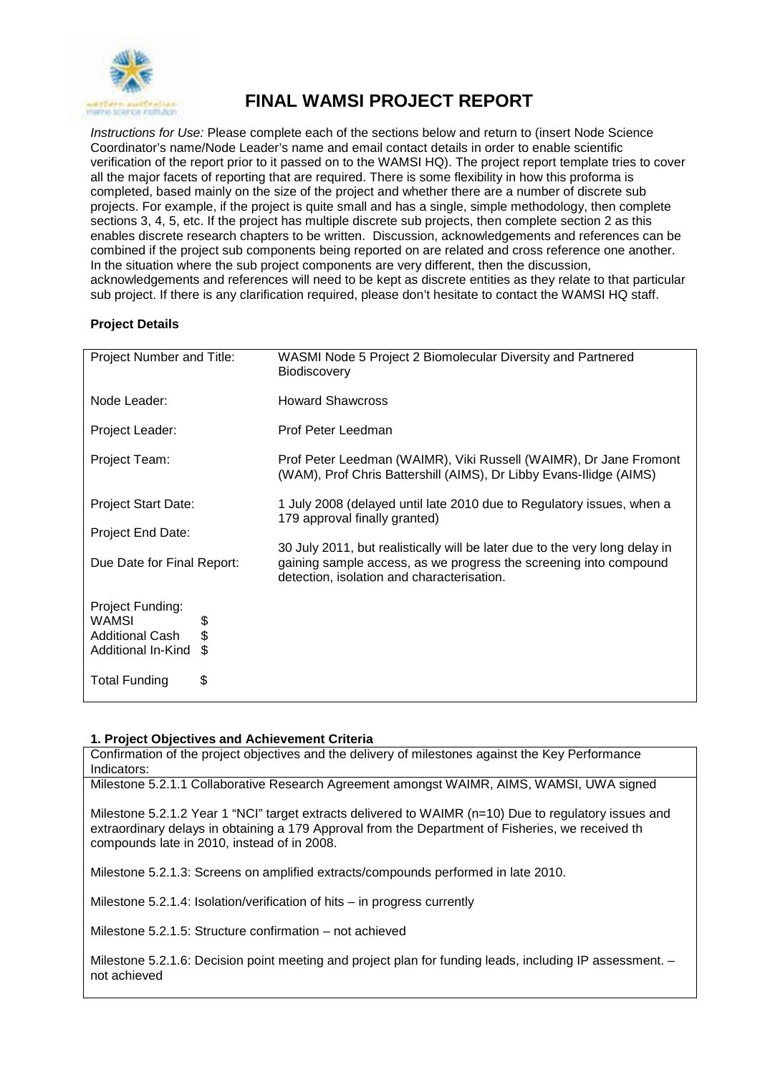

# **FINAL WAMSI PROJECT REPORT**

*Instructions for Use:* Please complete each of the sections below and return to (insert Node Science Coordinator's name/Node Leader's name and email contact details in order to enable scientific verification of the report prior to it passed on to the WAMSI HQ). The project report template tries to cover all the major facets of reporting that are required. There is some flexibility in how this proforma is completed, based mainly on the size of the project and whether there are a number of discrete sub projects. For example, if the project is quite small and has a single, simple methodology, then complete sections 3, 4, 5, etc. If the project has multiple discrete sub projects, then complete section 2 as this enables discrete research chapters to be written. Discussion, acknowledgements and references can be combined if the project sub components being reported on are related and cross reference one another. In the situation where the sub project components are very different, then the discussion, acknowledgements and references will need to be kept as discrete entities as they relate to that particular sub project. If there is any clarification required, please don't hesitate to contact the WAMSI HQ staff.

## **Project Details**

| Project Number and Title:       |          | WASMI Node 5 Project 2 Biomolecular Diversity and Partnered<br>Biodiscovery                                                                                                                    |
|---------------------------------|----------|------------------------------------------------------------------------------------------------------------------------------------------------------------------------------------------------|
| Node Leader:                    |          | <b>Howard Shawcross</b>                                                                                                                                                                        |
| Project Leader:                 |          | Prof Peter Leedman                                                                                                                                                                             |
| Project Team:                   |          | Prof Peter Leedman (WAIMR), Viki Russell (WAIMR), Dr Jane Fromont<br>(WAM), Prof Chris Battershill (AIMS), Dr Libby Evans-Ilidge (AIMS)                                                        |
| <b>Project Start Date:</b>      |          | 1 July 2008 (delayed until late 2010 due to Regulatory issues, when a<br>179 approval finally granted)                                                                                         |
| Project End Date:               |          |                                                                                                                                                                                                |
| Due Date for Final Report:      |          | 30 July 2011, but realistically will be later due to the very long delay in<br>gaining sample access, as we progress the screening into compound<br>detection, isolation and characterisation. |
| Project Funding:                |          |                                                                                                                                                                                                |
| WAMSI<br><b>Additional Cash</b> | \$<br>\$ |                                                                                                                                                                                                |
| Additional In-Kind              | \$.      |                                                                                                                                                                                                |
| <b>Total Funding</b>            | \$       |                                                                                                                                                                                                |

#### **1. Project Objectives and Achievement Criteria**

Confirmation of the project objectives and the delivery of milestones against the Key Performance Indicators:

Milestone 5.2.1.1 Collaborative Research Agreement amongst WAIMR, AIMS, WAMSI, UWA signed

Milestone 5.2.1.2 Year 1 "NCI" target extracts delivered to WAIMR (n=10) Due to regulatory issues and extraordinary delays in obtaining a 179 Approval from the Department of Fisheries, we received th compounds late in 2010, instead of in 2008.

Milestone 5.2.1.3: Screens on amplified extracts/compounds performed in late 2010.

Milestone 5.2.1.4: Isolation/verification of hits – in progress currently

Milestone 5.2.1.5: Structure confirmation – not achieved

Milestone 5.2.1.6: Decision point meeting and project plan for funding leads, including IP assessment. – not achieved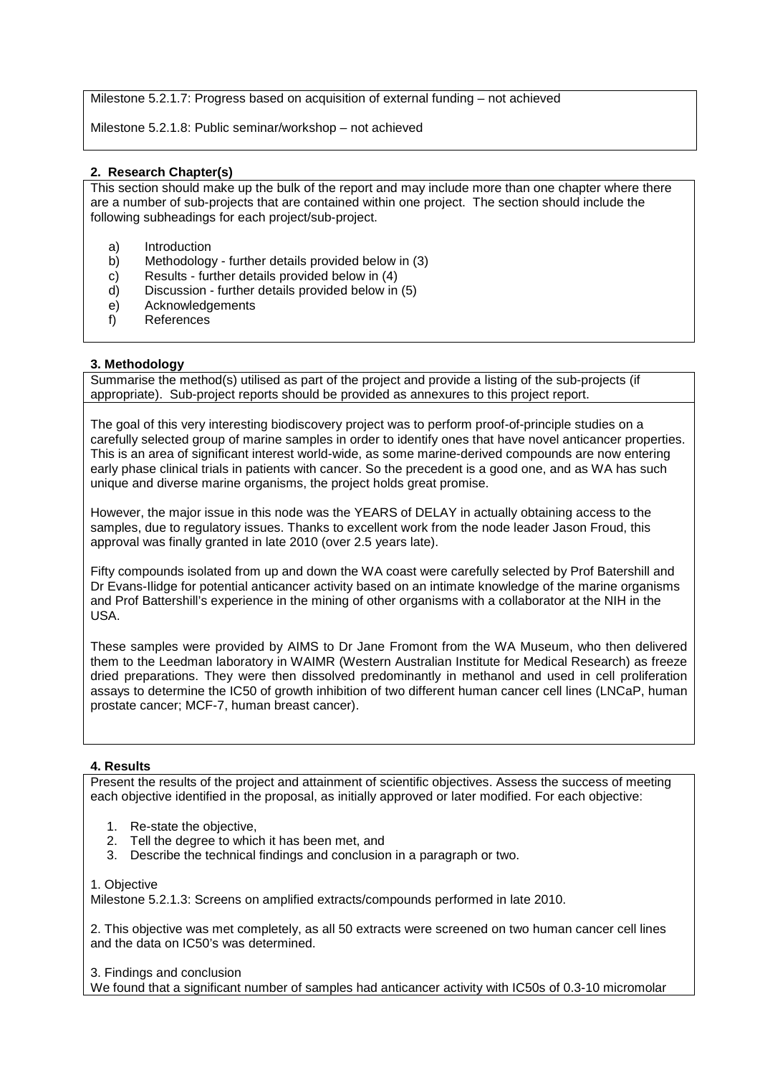Milestone 5.2.1.7: Progress based on acquisition of external funding – not achieved

Milestone 5.2.1.8: Public seminar/workshop – not achieved

### **2. Research Chapter(s)**

This section should make up the bulk of the report and may include more than one chapter where there are a number of sub-projects that are contained within one project. The section should include the following subheadings for each project/sub-project.

- a) Introduction<br>b) Methodology
- Methodology further details provided below in (3)
- c) Results further details provided below in (4)<br>d) Discussion further details provided below in
- Discussion further details provided below in (5)
- e) Acknowledgements
- f) References

#### **3. Methodology**

Summarise the method(s) utilised as part of the project and provide a listing of the sub-projects (if appropriate). Sub-project reports should be provided as annexures to this project report.

The goal of this very interesting biodiscovery project was to perform proof-of-principle studies on a carefully selected group of marine samples in order to identify ones that have novel anticancer properties. This is an area of significant interest world-wide, as some marine-derived compounds are now entering early phase clinical trials in patients with cancer. So the precedent is a good one, and as WA has such unique and diverse marine organisms, the project holds great promise.

However, the major issue in this node was the YEARS of DELAY in actually obtaining access to the samples, due to regulatory issues. Thanks to excellent work from the node leader Jason Froud, this approval was finally granted in late 2010 (over 2.5 years late).

Fifty compounds isolated from up and down the WA coast were carefully selected by Prof Batershill and Dr Evans-Ilidge for potential anticancer activity based on an intimate knowledge of the marine organisms and Prof Battershill's experience in the mining of other organisms with a collaborator at the NIH in the USA.

These samples were provided by AIMS to Dr Jane Fromont from the WA Museum, who then delivered them to the Leedman laboratory in WAIMR (Western Australian Institute for Medical Research) as freeze dried preparations. They were then dissolved predominantly in methanol and used in cell proliferation assays to determine the IC50 of growth inhibition of two different human cancer cell lines (LNCaP, human prostate cancer; MCF-7, human breast cancer).

#### **4. Results**

Present the results of the project and attainment of scientific objectives. Assess the success of meeting each objective identified in the proposal, as initially approved or later modified. For each objective:

- 1. Re-state the objective,
- 2. Tell the degree to which it has been met, and
- 3. Describe the technical findings and conclusion in a paragraph or two.

1. Objective

Milestone 5.2.1.3: Screens on amplified extracts/compounds performed in late 2010.

2. This objective was met completely, as all 50 extracts were screened on two human cancer cell lines and the data on IC50's was determined.

3. Findings and conclusion

We found that a significant number of samples had anticancer activity with IC50s of 0.3-10 micromolar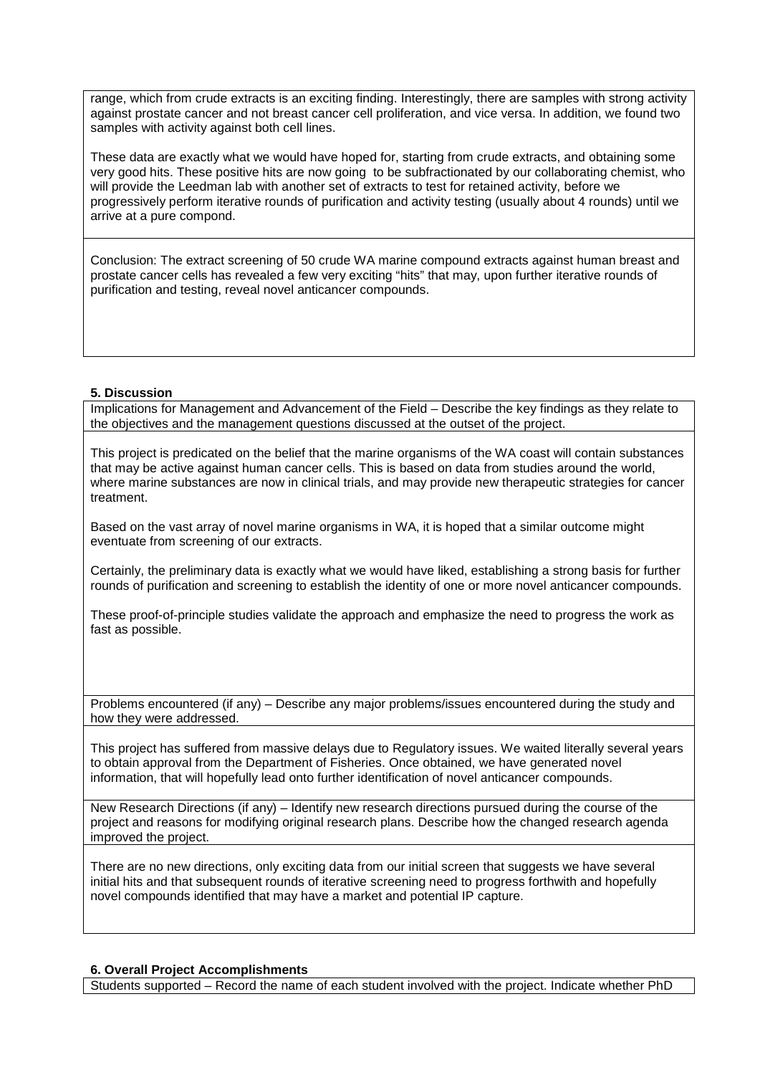range, which from crude extracts is an exciting finding. Interestingly, there are samples with strong activity against prostate cancer and not breast cancer cell proliferation, and vice versa. In addition, we found two samples with activity against both cell lines.

These data are exactly what we would have hoped for, starting from crude extracts, and obtaining some very good hits. These positive hits are now going to be subfractionated by our collaborating chemist, who will provide the Leedman lab with another set of extracts to test for retained activity, before we progressively perform iterative rounds of purification and activity testing (usually about 4 rounds) until we arrive at a pure compond.

Conclusion: The extract screening of 50 crude WA marine compound extracts against human breast and prostate cancer cells has revealed a few very exciting "hits" that may, upon further iterative rounds of purification and testing, reveal novel anticancer compounds.

#### **5. Discussion**

Implications for Management and Advancement of the Field – Describe the key findings as they relate to the objectives and the management questions discussed at the outset of the project.

This project is predicated on the belief that the marine organisms of the WA coast will contain substances that may be active against human cancer cells. This is based on data from studies around the world, where marine substances are now in clinical trials, and may provide new therapeutic strategies for cancer treatment.

Based on the vast array of novel marine organisms in WA, it is hoped that a similar outcome might eventuate from screening of our extracts.

Certainly, the preliminary data is exactly what we would have liked, establishing a strong basis for further rounds of purification and screening to establish the identity of one or more novel anticancer compounds.

These proof-of-principle studies validate the approach and emphasize the need to progress the work as fast as possible.

Problems encountered (if any) – Describe any major problems/issues encountered during the study and how they were addressed.

This project has suffered from massive delays due to Regulatory issues. We waited literally several years to obtain approval from the Department of Fisheries. Once obtained, we have generated novel information, that will hopefully lead onto further identification of novel anticancer compounds.

New Research Directions (if any) – Identify new research directions pursued during the course of the project and reasons for modifying original research plans. Describe how the changed research agenda improved the project.

There are no new directions, only exciting data from our initial screen that suggests we have several initial hits and that subsequent rounds of iterative screening need to progress forthwith and hopefully novel compounds identified that may have a market and potential IP capture.

#### **6. Overall Project Accomplishments**

Students supported – Record the name of each student involved with the project. Indicate whether PhD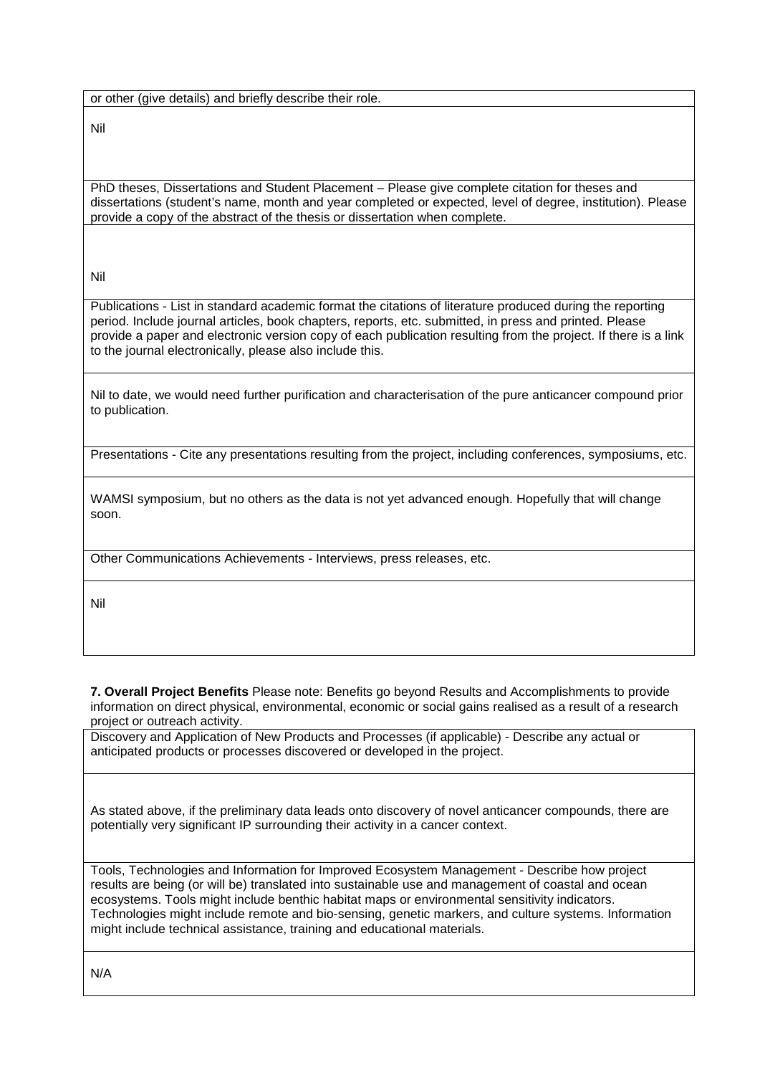or other (give details) and briefly describe their role.

Nil

PhD theses, Dissertations and Student Placement – Please give complete citation for theses and dissertations (student's name, month and year completed or expected, level of degree, institution). Please provide a copy of the abstract of the thesis or dissertation when complete.

Nil

Publications - List in standard academic format the citations of literature produced during the reporting period. Include journal articles, book chapters, reports, etc. submitted, in press and printed. Please provide a paper and electronic version copy of each publication resulting from the project. If there is a link to the journal electronically, please also include this.

Nil to date, we would need further purification and characterisation of the pure anticancer compound prior to publication.

Presentations - Cite any presentations resulting from the project, including conferences, symposiums, etc.

WAMSI symposium, but no others as the data is not yet advanced enough. Hopefully that will change soon.

Other Communications Achievements - Interviews, press releases, etc.

Nil

**7. Overall Project Benefits** Please note: Benefits go beyond Results and Accomplishments to provide information on direct physical, environmental, economic or social gains realised as a result of a research project or outreach activity.

Discovery and Application of New Products and Processes (if applicable) - Describe any actual or anticipated products or processes discovered or developed in the project.

As stated above, if the preliminary data leads onto discovery of novel anticancer compounds, there are potentially very significant IP surrounding their activity in a cancer context.

Tools, Technologies and Information for Improved Ecosystem Management - Describe how project results are being (or will be) translated into sustainable use and management of coastal and ocean ecosystems. Tools might include benthic habitat maps or environmental sensitivity indicators. Technologies might include remote and bio-sensing, genetic markers, and culture systems. Information might include technical assistance, training and educational materials.

N/A